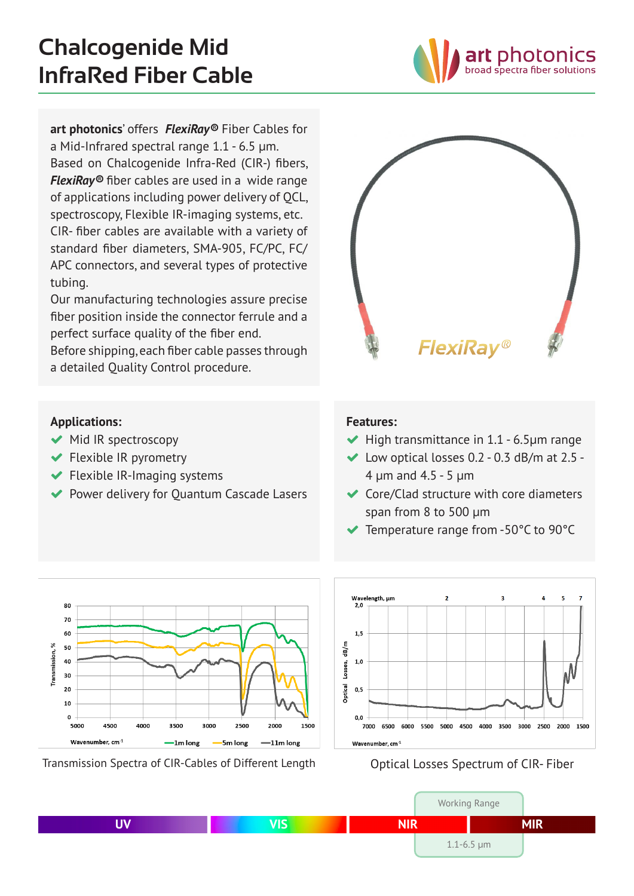oad spectra fiber solutions

**art photonics**' offers *FlexiRay®* Fiber Cables for a Mid-Infrared spectral range 1.1 - 6.5 μm. Based on Chalcogenide Infra-Red (CIR-) fibers, *FlexiRay®* fiber cables are used in a wide range of applications including power delivery of QCL, spectroscopy, Flexible IR-imaging systems, etc. CIR- fiber cables are available with a variety of standard fiber diameters, SMA-905, FC/PC, FC/ APC connectors, and several types of protective tubing.

Our manufacturing technologies assure precise fiber position inside the connector ferrule and a perfect surface quality of the fiber end.

Before shipping, each fiber cable passes through a detailed Quality Control procedure.

# **FlexiRay**®

## **Applications:**

- $\blacktriangleright$  Mid IR spectroscopy
- Flexible IR pyrometry
- $\blacktriangleright$  Flexible IR-Imaging systems
- ◆ Power delivery for Quantum Cascade Lasers

### **Features:**

- $\blacktriangleright$  High transmittance in 1.1 6.5 $\mu$ m range
- $\blacktriangleright$  Low optical losses 0.2 0.3 dB/m at 2.5 -4 µm and 4.5 - 5 µm
- ◆ Core/Clad structure with core diameters span from 8 to 500 µm
- Temperature range from -50°C to 90°C



Transmission Spectra of CIR-Cables of Different Length **Optical Losses Spectrum of CIR- Fiber** 



|    |            |            | <b>Working Range</b> |
|----|------------|------------|----------------------|
| UV | <b>VIS</b> | <b>NIR</b> | <b>MIR</b>           |
|    |            |            | $1.1 - 6.5$ µm       |